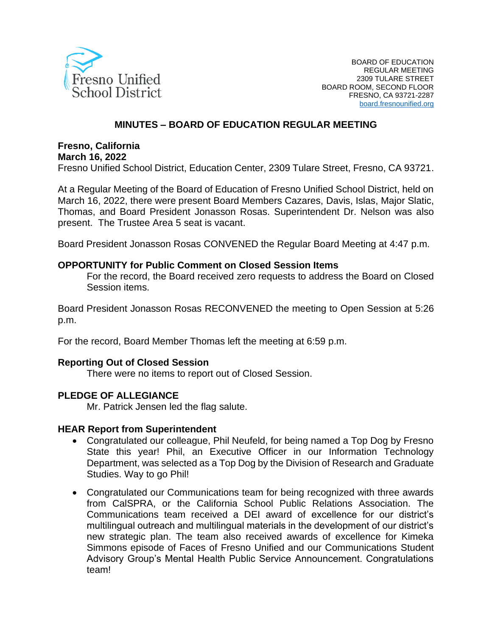

#### **MINUTES – BOARD OF EDUCATION REGULAR MEETING**

#### **Fresno, California March 16, 2022**

Fresno Unified School District, Education Center, 2309 Tulare Street, Fresno, CA 93721.

At a Regular Meeting of the Board of Education of Fresno Unified School District, held on March 16, 2022, there were present Board Members Cazares, Davis, Islas, Major Slatic, Thomas, and Board President Jonasson Rosas. Superintendent Dr. Nelson was also present. The Trustee Area 5 seat is vacant.

Board President Jonasson Rosas CONVENED the Regular Board Meeting at 4:47 p.m.

#### **OPPORTUNITY for Public Comment on Closed Session Items**

For the record, the Board received zero requests to address the Board on Closed Session items.

Board President Jonasson Rosas RECONVENED the meeting to Open Session at 5:26 p.m.

For the record, Board Member Thomas left the meeting at 6:59 p.m.

#### **Reporting Out of Closed Session**

There were no items to report out of Closed Session.

#### **PLEDGE OF ALLEGIANCE**

Mr. Patrick Jensen led the flag salute.

#### **HEAR Report from Superintendent**

- Congratulated our colleague, Phil Neufeld, for being named a Top Dog by Fresno State this year! Phil, an Executive Officer in our Information Technology Department, was selected as a Top Dog by the Division of Research and Graduate Studies. Way to go Phil!
- Congratulated our Communications team for being recognized with three awards from CalSPRA, or the California School Public Relations Association. The Communications team received a DEI award of excellence for our district's multilingual outreach and multilingual materials in the development of our district's new strategic plan. The team also received awards of excellence for Kimeka Simmons episode of Faces of Fresno Unified and our Communications Student Advisory Group's Mental Health Public Service Announcement. Congratulations team!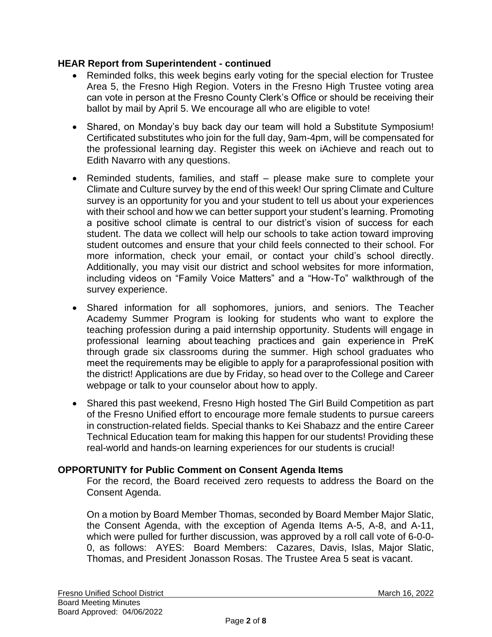## **HEAR Report from Superintendent - continued**

- Reminded folks, this week begins early voting for the special election for Trustee Area 5, the Fresno High Region. Voters in the Fresno High Trustee voting area can vote in person at the Fresno County Clerk's Office or should be receiving their ballot by mail by April 5. We encourage all who are eligible to vote!
- Shared, on Monday's buy back day our team will hold a Substitute Symposium! Certificated substitutes who join for the full day, 9am-4pm, will be compensated for the professional learning day. Register this week on iAchieve and reach out to Edith Navarro with any questions.
- Reminded students, families, and staff please make sure to complete your Climate and Culture survey by the end of this week! Our spring Climate and Culture survey is an opportunity for you and your student to tell us about your experiences with their school and how we can better support your student's learning. Promoting a positive school climate is central to our district's vision of success for each student. The data we collect will help our schools to take action toward improving student outcomes and ensure that your child feels connected to their school. For more information, check your email, or contact your child's school directly. Additionally, you may visit our district and school websites for more information, including videos on "Family Voice Matters" and a "How-To" walkthrough of the survey experience.
- Shared information for all sophomores, juniors, and seniors. The Teacher Academy Summer Program is looking for students who want to explore the teaching profession during a paid internship opportunity. Students will engage in professional learning about teaching practices and gain experience in PreK through grade six classrooms during the summer. High school graduates who meet the requirements may be eligible to apply for a paraprofessional position with the district! Applications are due by Friday, so head over to the College and Career webpage or talk to your counselor about how to apply.
- Shared this past weekend, Fresno High hosted The Girl Build Competition as part of the Fresno Unified effort to encourage more female students to pursue careers in construction-related fields. Special thanks to Kei Shabazz and the entire Career Technical Education team for making this happen for our students! Providing these real-world and hands-on learning experiences for our students is crucial!

# **OPPORTUNITY for Public Comment on Consent Agenda Items**

For the record, the Board received zero requests to address the Board on the Consent Agenda.

On a motion by Board Member Thomas, seconded by Board Member Major Slatic, the Consent Agenda, with the exception of Agenda Items A-5, A-8, and A-11, which were pulled for further discussion, was approved by a roll call vote of 6-0-0- 0, as follows: AYES: Board Members: Cazares, Davis, Islas, Major Slatic, Thomas, and President Jonasson Rosas. The Trustee Area 5 seat is vacant.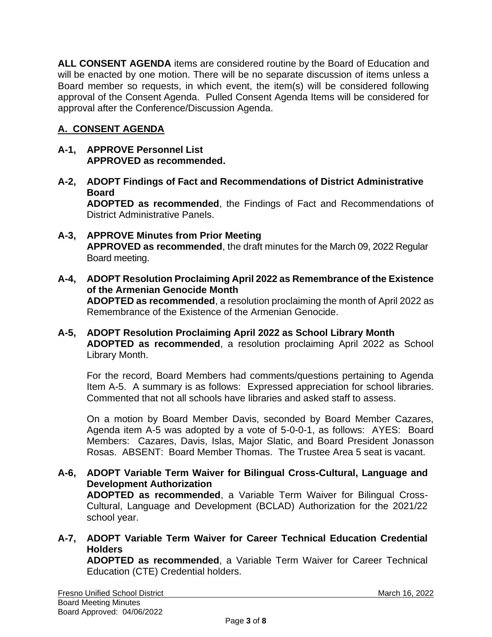**ALL CONSENT AGENDA** items are considered routine by the Board of Education and will be enacted by one motion. There will be no separate discussion of items unless a Board member so requests, in which event, the item(s) will be considered following approval of the Consent Agenda. Pulled Consent Agenda Items will be considered for approval after the Conference/Discussion Agenda.

# **A. CONSENT AGENDA**

- **A-1, APPROVE Personnel List APPROVED as recommended.**
- **A-2, ADOPT Findings of Fact and Recommendations of District Administrative Board ADOPTED as recommended**, the Findings of Fact and Recommendations of District Administrative Panels.
- **A-3, APPROVE Minutes from Prior Meeting APPROVED as recommended**, the draft minutes for the March 09, 2022 Regular Board meeting.
- **A-4, ADOPT Resolution Proclaiming April 2022 as Remembrance of the Existence of the Armenian Genocide Month ADOPTED as recommended**, a resolution proclaiming the month of April 2022 as Remembrance of the Existence of the Armenian Genocide.
- **A-5, ADOPT Resolution Proclaiming April 2022 as School Library Month ADOPTED as recommended**, a resolution proclaiming April 2022 as School Library Month.

For the record, Board Members had comments/questions pertaining to Agenda Item A-5. A summary is as follows: Expressed appreciation for school libraries. Commented that not all schools have libraries and asked staff to assess.

On a motion by Board Member Davis, seconded by Board Member Cazares, Agenda item A-5 was adopted by a vote of 5-0-0-1, as follows: AYES: Board Members: Cazares, Davis, Islas, Major Slatic, and Board President Jonasson Rosas. ABSENT: Board Member Thomas. The Trustee Area 5 seat is vacant.

- **A-6, ADOPT Variable Term Waiver for Bilingual Cross-Cultural, Language and Development Authorization ADOPTED as recommended**, a Variable Term Waiver for Bilingual Cross-Cultural, Language and Development (BCLAD) Authorization for the 2021/22 school year.
- **A-7, ADOPT Variable Term Waiver for Career Technical Education Credential Holders**

**ADOPTED as recommended**, a Variable Term Waiver for Career Technical Education (CTE) Credential holders.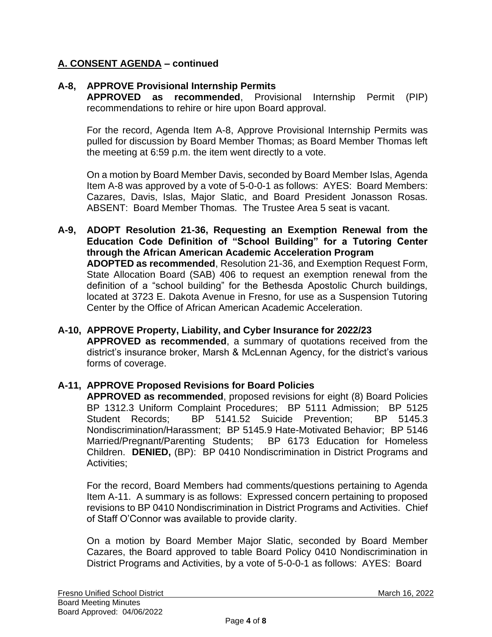# **A. CONSENT AGENDA – continued**

# **A-8, APPROVE Provisional Internship Permits**

**APPROVED as recommended**, Provisional Internship Permit (PIP) recommendations to rehire or hire upon Board approval.

For the record, Agenda Item A-8, Approve Provisional Internship Permits was pulled for discussion by Board Member Thomas; as Board Member Thomas left the meeting at 6:59 p.m. the item went directly to a vote.

On a motion by Board Member Davis, seconded by Board Member Islas, Agenda Item A-8 was approved by a vote of 5-0-0-1 as follows: AYES: Board Members: Cazares, Davis, Islas, Major Slatic, and Board President Jonasson Rosas. ABSENT: Board Member Thomas. The Trustee Area 5 seat is vacant.

**A-9, ADOPT Resolution 21-36, Requesting an Exemption Renewal from the Education Code Definition of "School Building" for a Tutoring Center through the African American Academic Acceleration Program ADOPTED as recommended**, Resolution 21-36, and Exemption Request Form, State Allocation Board (SAB) 406 to request an exemption renewal from the definition of a "school building" for the Bethesda Apostolic Church buildings, located at 3723 E. Dakota Avenue in Fresno, for use as a Suspension Tutoring Center by the Office of African American Academic Acceleration.

# **A-10, APPROVE Property, Liability, and Cyber Insurance for 2022/23**

**APPROVED as recommended**, a summary of quotations received from the district's insurance broker, Marsh & McLennan Agency, for the district's various forms of coverage.

#### **A-11, APPROVE Proposed Revisions for Board Policies**

**APPROVED as recommended**, proposed revisions for eight (8) Board Policies BP 1312.3 Uniform Complaint Procedures; BP 5111 Admission; BP 5125 Student Records; BP 5141.52 Suicide Prevention; BP 5145.3 Nondiscrimination/Harassment; BP 5145.9 Hate-Motivated Behavior; BP 5146 Married/Pregnant/Parenting Students; BP 6173 Education for Homeless Children. **DENIED,** (BP): BP 0410 Nondiscrimination in District Programs and Activities;

For the record, Board Members had comments/questions pertaining to Agenda Item A-11. A summary is as follows: Expressed concern pertaining to proposed revisions to BP 0410 Nondiscrimination in District Programs and Activities. Chief of Staff O'Connor was available to provide clarity.

On a motion by Board Member Major Slatic, seconded by Board Member Cazares, the Board approved to table Board Policy 0410 Nondiscrimination in District Programs and Activities, by a vote of 5-0-0-1 as follows: AYES: Board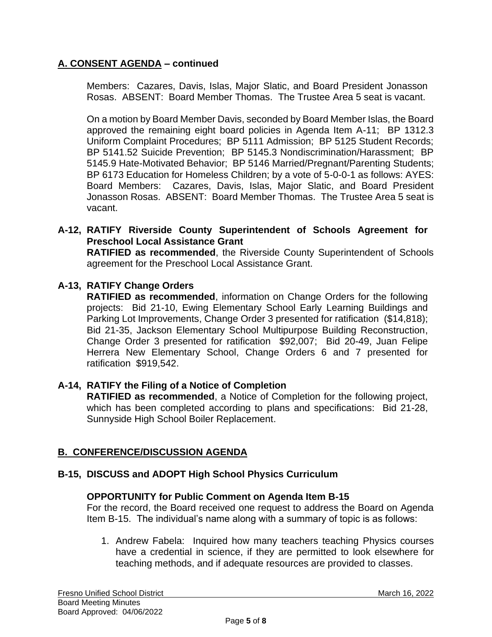# **A. CONSENT AGENDA – continued**

Members: Cazares, Davis, Islas, Major Slatic, and Board President Jonasson Rosas. ABSENT: Board Member Thomas. The Trustee Area 5 seat is vacant.

On a motion by Board Member Davis, seconded by Board Member Islas, the Board approved the remaining eight board policies in Agenda Item A-11; BP 1312.3 Uniform Complaint Procedures; BP 5111 Admission; BP 5125 Student Records; BP 5141.52 Suicide Prevention; BP 5145.3 Nondiscrimination/Harassment; BP 5145.9 Hate-Motivated Behavior; BP 5146 Married/Pregnant/Parenting Students; BP 6173 Education for Homeless Children; by a vote of 5-0-0-1 as follows: AYES: Board Members: Cazares, Davis, Islas, Major Slatic, and Board President Jonasson Rosas. ABSENT: Board Member Thomas. The Trustee Area 5 seat is vacant.

**A-12, RATIFY Riverside County Superintendent of Schools Agreement for Preschool Local Assistance Grant**

**RATIFIED as recommended**, the Riverside County Superintendent of Schools agreement for the Preschool Local Assistance Grant.

# **A-13, RATIFY Change Orders**

**RATIFIED as recommended**, information on Change Orders for the following projects: Bid 21-10, Ewing Elementary School Early Learning Buildings and Parking Lot Improvements, Change Order 3 presented for ratification (\$14,818); Bid 21-35, Jackson Elementary School Multipurpose Building Reconstruction, Change Order 3 presented for ratification \$92,007; Bid 20-49, Juan Felipe Herrera New Elementary School, Change Orders 6 and 7 presented for ratification \$919,542.

#### **A-14, RATIFY the Filing of a Notice of Completion**

**RATIFIED as recommended**, a Notice of Completion for the following project, which has been completed according to plans and specifications: Bid 21-28, Sunnyside High School Boiler Replacement.

# **B. CONFERENCE/DISCUSSION AGENDA**

# **B-15, DISCUSS and ADOPT High School Physics Curriculum**

#### **OPPORTUNITY for Public Comment on Agenda Item B-15**

For the record, the Board received one request to address the Board on Agenda Item B-15. The individual's name along with a summary of topic is as follows:

1. Andrew Fabela: Inquired how many teachers teaching Physics courses have a credential in science, if they are permitted to look elsewhere for teaching methods, and if adequate resources are provided to classes.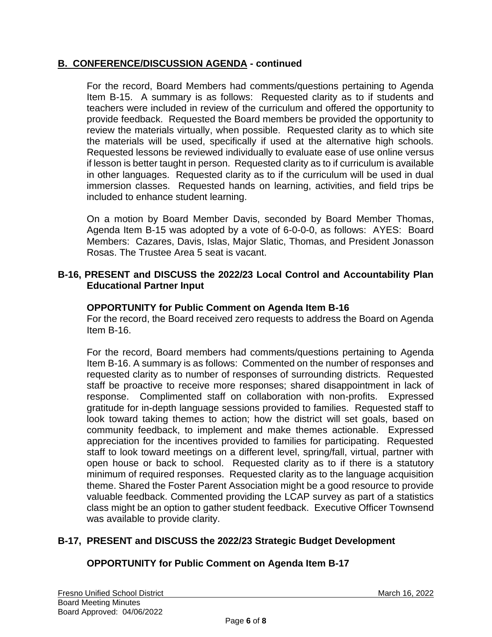# **B. CONFERENCE/DISCUSSION AGENDA - continued**

For the record, Board Members had comments/questions pertaining to Agenda Item B-15. A summary is as follows: Requested clarity as to if students and teachers were included in review of the curriculum and offered the opportunity to provide feedback. Requested the Board members be provided the opportunity to review the materials virtually, when possible. Requested clarity as to which site the materials will be used, specifically if used at the alternative high schools. Requested lessons be reviewed individually to evaluate ease of use online versus if lesson is better taught in person. Requested clarity as to if curriculum is available in other languages. Requested clarity as to if the curriculum will be used in dual immersion classes. Requested hands on learning, activities, and field trips be included to enhance student learning.

On a motion by Board Member Davis, seconded by Board Member Thomas, Agenda Item B-15 was adopted by a vote of 6-0-0-0, as follows: AYES: Board Members: Cazares, Davis, Islas, Major Slatic, Thomas, and President Jonasson Rosas. The Trustee Area 5 seat is vacant.

#### **B-16, PRESENT and DISCUSS the 2022/23 Local Control and Accountability Plan Educational Partner Input**

## **OPPORTUNITY for Public Comment on Agenda Item B-16**

For the record, the Board received zero requests to address the Board on Agenda Item B-16.

For the record, Board members had comments/questions pertaining to Agenda Item B-16. A summary is as follows: Commented on the number of responses and requested clarity as to number of responses of surrounding districts. Requested staff be proactive to receive more responses; shared disappointment in lack of response. Complimented staff on collaboration with non-profits. Expressed gratitude for in-depth language sessions provided to families. Requested staff to look toward taking themes to action; how the district will set goals, based on community feedback, to implement and make themes actionable. Expressed appreciation for the incentives provided to families for participating. Requested staff to look toward meetings on a different level, spring/fall, virtual, partner with open house or back to school. Requested clarity as to if there is a statutory minimum of required responses. Requested clarity as to the language acquisition theme. Shared the Foster Parent Association might be a good resource to provide valuable feedback. Commented providing the LCAP survey as part of a statistics class might be an option to gather student feedback. Executive Officer Townsend was available to provide clarity.

# **B-17, PRESENT and DISCUSS the 2022/23 Strategic Budget Development**

# **OPPORTUNITY for Public Comment on Agenda Item B-17**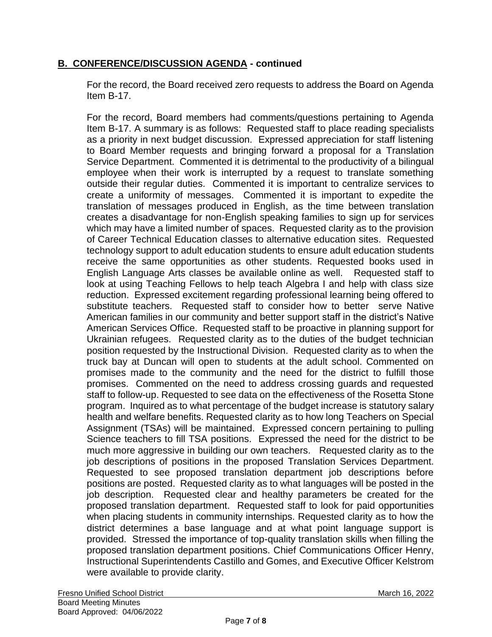# **B. CONFERENCE/DISCUSSION AGENDA - continued**

For the record, the Board received zero requests to address the Board on Agenda Item B-17.

For the record, Board members had comments/questions pertaining to Agenda Item B-17. A summary is as follows: Requested staff to place reading specialists as a priority in next budget discussion. Expressed appreciation for staff listening to Board Member requests and bringing forward a proposal for a Translation Service Department. Commented it is detrimental to the productivity of a bilingual employee when their work is interrupted by a request to translate something outside their regular duties. Commented it is important to centralize services to create a uniformity of messages. Commented it is important to expedite the translation of messages produced in English, as the time between translation creates a disadvantage for non-English speaking families to sign up for services which may have a limited number of spaces. Requested clarity as to the provision of Career Technical Education classes to alternative education sites. Requested technology support to adult education students to ensure adult education students receive the same opportunities as other students. Requested books used in English Language Arts classes be available online as well. Requested staff to look at using Teaching Fellows to help teach Algebra I and help with class size reduction. Expressed excitement regarding professional learning being offered to substitute teachers. Requested staff to consider how to better serve Native American families in our community and better support staff in the district's Native American Services Office. Requested staff to be proactive in planning support for Ukrainian refugees. Requested clarity as to the duties of the budget technician position requested by the Instructional Division. Requested clarity as to when the truck bay at Duncan will open to students at the adult school. Commented on promises made to the community and the need for the district to fulfill those promises. Commented on the need to address crossing guards and requested staff to follow-up. Requested to see data on the effectiveness of the Rosetta Stone program. Inquired as to what percentage of the budget increase is statutory salary health and welfare benefits. Requested clarity as to how long Teachers on Special Assignment (TSAs) will be maintained. Expressed concern pertaining to pulling Science teachers to fill TSA positions. Expressed the need for the district to be much more aggressive in building our own teachers. Requested clarity as to the job descriptions of positions in the proposed Translation Services Department. Requested to see proposed translation department job descriptions before positions are posted. Requested clarity as to what languages will be posted in the job description. Requested clear and healthy parameters be created for the proposed translation department. Requested staff to look for paid opportunities when placing students in community internships. Requested clarity as to how the district determines a base language and at what point language support is provided. Stressed the importance of top-quality translation skills when filling the proposed translation department positions. Chief Communications Officer Henry, Instructional Superintendents Castillo and Gomes, and Executive Officer Kelstrom were available to provide clarity.